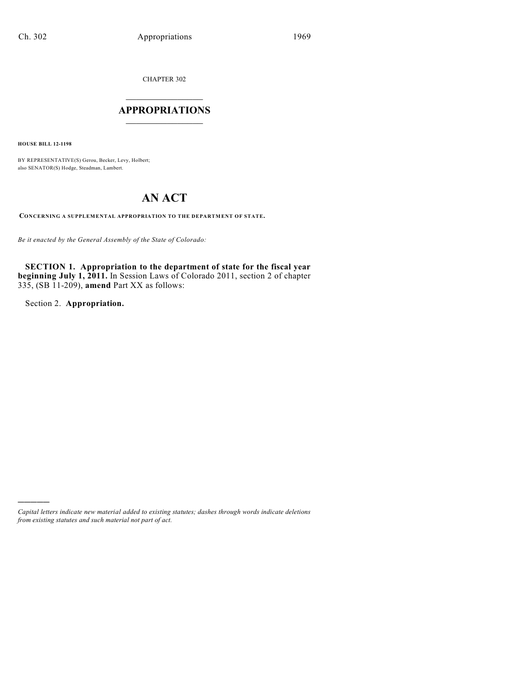CHAPTER 302

## $\mathcal{L}_\text{max}$  . The set of the set of the set of the set of the set of the set of the set of the set of the set of the set of the set of the set of the set of the set of the set of the set of the set of the set of the set **APPROPRIATIONS**  $\_$   $\_$   $\_$   $\_$   $\_$   $\_$   $\_$   $\_$

**HOUSE BILL 12-1198**

BY REPRESENTATIVE(S) Gerou, Becker, Levy, Holbert; also SENATOR(S) Hodge, Steadman, Lambert.

# **AN ACT**

**CONCERNING A SUPPLEMENTAL APPROPRIATION TO THE DEPARTMENT OF STATE.**

*Be it enacted by the General Assembly of the State of Colorado:*

**SECTION 1. Appropriation to the department of state for the fiscal year beginning July 1, 2011.** In Session Laws of Colorado 2011, section 2 of chapter 335, (SB 11-209), **amend** Part XX as follows:

Section 2. **Appropriation.**

)))))

*Capital letters indicate new material added to existing statutes; dashes through words indicate deletions from existing statutes and such material not part of act.*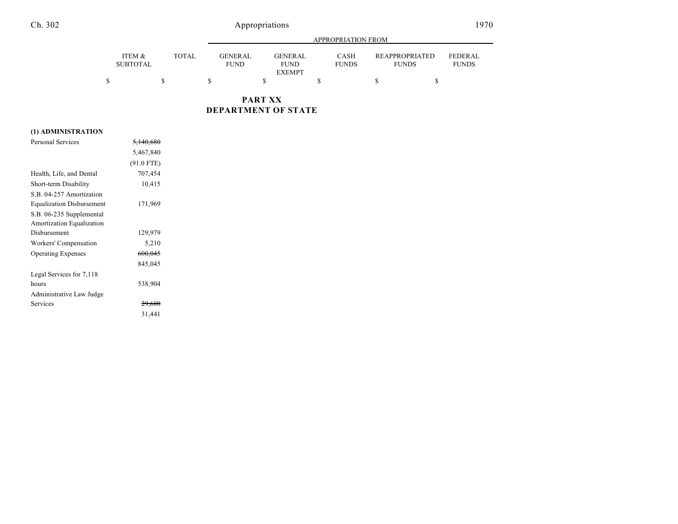## Ch. 302 Appropriations

| × |  |  |  |  |  |
|---|--|--|--|--|--|
|---|--|--|--|--|--|

|                           |              |                                | APPROPRIATION FROM                             |                             |                                |                                |  |  |
|---------------------------|--------------|--------------------------------|------------------------------------------------|-----------------------------|--------------------------------|--------------------------------|--|--|
| ITEM &<br><b>SUBTOTAL</b> | <b>TOTAL</b> | <b>GENER AL</b><br><b>FUND</b> | <b>GENERAL</b><br><b>FUND</b><br><b>EXEMPT</b> | <b>CASH</b><br><b>FUNDS</b> | REAPPROPRIATED<br><b>FUNDS</b> | <b>FEDERAL</b><br><b>FUNDS</b> |  |  |
|                           |              |                                |                                                |                             |                                |                                |  |  |

**PART XX DEPARTMENT OF STATE**

### **(1) ADMINISTRATION**

| <b>Personal Services</b>         | <del>5,140,680</del> |  |
|----------------------------------|----------------------|--|
|                                  | 5,467,840            |  |
|                                  | $(91.0$ FTE)         |  |
| Health, Life, and Dental         | 707,454              |  |
| Short-term Disability            | 10,415               |  |
| S.B. 04-257 Amortization         |                      |  |
| <b>Equalization Disbursement</b> | 171,969              |  |
| S.B. 06-235 Supplemental         |                      |  |
| Amortization Equalization        |                      |  |
| Disbursement                     | 129,979              |  |
| Workers' Compensation            | 5,210                |  |
| <b>Operating Expenses</b>        | 600,045              |  |
|                                  | 845,045              |  |
| Legal Services for 7,118         |                      |  |
| hours                            | 538,904              |  |
| Administrative Law Judge         |                      |  |
| Services                         | 29,600               |  |
|                                  | 31,441               |  |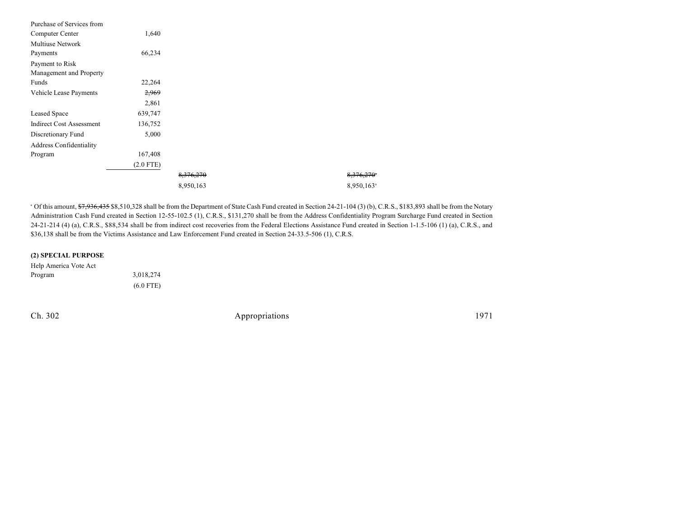| Purchase of Services from       |             |           |                        |
|---------------------------------|-------------|-----------|------------------------|
| Computer Center                 | 1,640       |           |                        |
| <b>Multiuse Network</b>         |             |           |                        |
| Payments                        | 66,234      |           |                        |
| Payment to Risk                 |             |           |                        |
| Management and Property         |             |           |                        |
| Funds                           | 22,264      |           |                        |
| Vehicle Lease Payments          | 2,969       |           |                        |
|                                 | 2,861       |           |                        |
| Leased Space                    | 639,747     |           |                        |
| <b>Indirect Cost Assessment</b> | 136,752     |           |                        |
| Discretionary Fund              | 5,000       |           |                        |
| <b>Address Confidentiality</b>  |             |           |                        |
| Program                         | 167,408     |           |                        |
|                                 | $(2.0$ FTE) |           |                        |
|                                 |             | 8,376,270 | 8,376,270*             |
|                                 |             | 8,950,163 | 8,950,163 <sup>a</sup> |

<sup>a</sup> Of this amount, \$7,936,435 \$8,510,328 shall be from the Department of State Cash Fund created in Section 24-21-104 (3) (b), C.R.S., \$183,893 shall be from the Notary Administration Cash Fund created in Section 12-55-102.5 (1), C.R.S., \$131,270 shall be from the Address Confidentiality Program Surcharge Fund created in Section 24-21-214 (4) (a), C.R.S., \$88,534 shall be from indirect cost recoveries from the Federal Elections Assistance Fund created in Section 1-1.5-106 (1) (a), C.R.S., and \$36,138 shall be from the Victims Assistance and Law Enforcement Fund created in Section 24-33.5-506 (1), C.R.S.

#### **(2) SPECIAL PURPOSE**

| Help America Vote Act |             |
|-----------------------|-------------|
| Program               | 3,018,274   |
|                       | $(6.0$ FTE) |

Ch. 302 Appropriations 1971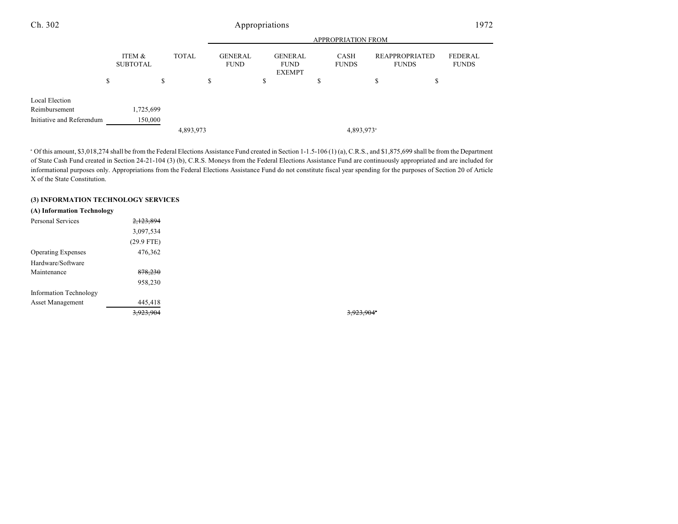### Ch. 302 Appropriations 1972

|                           |   |                           |    | <b>APPROPRIATION FROM</b> |    |                               |   |                                         |   |                        |    |                                |                         |
|---------------------------|---|---------------------------|----|---------------------------|----|-------------------------------|---|-----------------------------------------|---|------------------------|----|--------------------------------|-------------------------|
|                           |   | ITEM &<br><b>SUBTOTAL</b> |    | <b>TOTAL</b>              |    | <b>GENERAL</b><br><b>FUND</b> |   | GENERAL<br><b>FUND</b><br><b>EXEMPT</b> |   | CASH<br><b>FUNDS</b>   |    | REAPPROPRIATED<br><b>FUNDS</b> | FEDERAL<br><b>FUNDS</b> |
|                           | S |                           | \$ |                           | \$ |                               | S |                                         | S |                        | \$ | \$                             |                         |
| Local Election            |   |                           |    |                           |    |                               |   |                                         |   |                        |    |                                |                         |
| Reimbursement             |   | 1,725,699                 |    |                           |    |                               |   |                                         |   |                        |    |                                |                         |
| Initiative and Referendum |   | 150,000                   |    |                           |    |                               |   |                                         |   |                        |    |                                |                         |
|                           |   |                           |    | 4,893,973                 |    |                               |   |                                         |   | 4,893,973 <sup>a</sup> |    |                                |                         |

<sup>a</sup> Of this amount, \$3,018,274 shall be from the Federal Elections Assistance Fund created in Section 1-1.5-106 (1) (a), C.R.S., and \$1,875,699 shall be from the Department of State Cash Fund created in Section 24-21-104 (3) (b), C.R.S. Moneys from the Federal Elections Assistance Fund are continuously appropriated and are included for informational purposes only. Appropriations from the Federal Elections Assistance Fund do not constitute fiscal year spending for the purposes of Section 20 of Article X of the State Constitution.

#### **(3) INFORMATION TECHNOLOGY SERVICES**

| (A) Information Technology |              |
|----------------------------|--------------|
| <b>Personal Services</b>   | 2,123,894    |
|                            | 3,097,534    |
|                            | $(29.9$ FTE) |
| <b>Operating Expenses</b>  | 476,362      |
| Hardware/Software          |              |
| Maintenance                | 878,230      |
|                            | 958,230      |
| Information Technology     |              |
| <b>Asset Management</b>    | 445,418      |
|                            | 3,923,904    |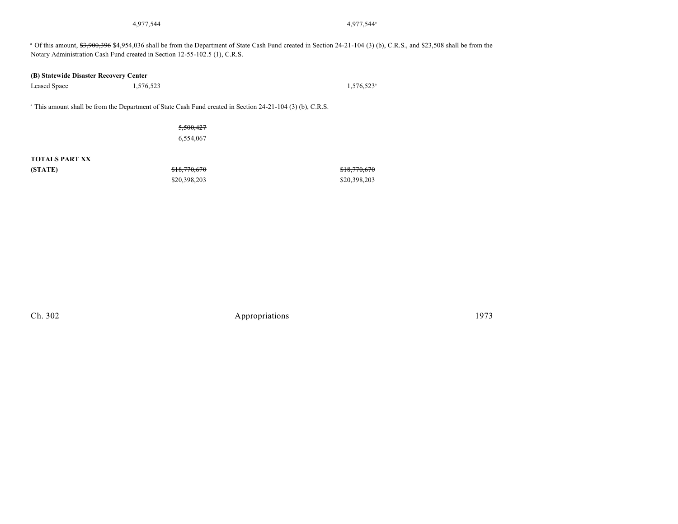4,977,544 4,977,544

4,977,544

<sup>a</sup> Of this amount, \$3,900,396 \$4,954,036 shall be from the Department of State Cash Fund created in Section 24-21-104 (3) (b), C.R.S., and \$23,508 shall be from the Notary Administration Cash Fund created in Section 12-55-102.5 (1), C.R.S.

#### **(B) Statewide Disaster Recovery Center**

Leased Space 1,576,523  $1,576,523$ <sup>a</sup>

<sup>a</sup> This amount shall be from the Department of State Cash Fund created in Section 24-21-104 (3) (b), C.R.S.

5,500,427 6,554,067

### **TOTALS PART XX**

| (STATE) | \$18,770,670 | \$18,770,670 |
|---------|--------------|--------------|
|         | \$20,398,203 | \$20,398,203 |

Ch. 302 Appropriations 1973